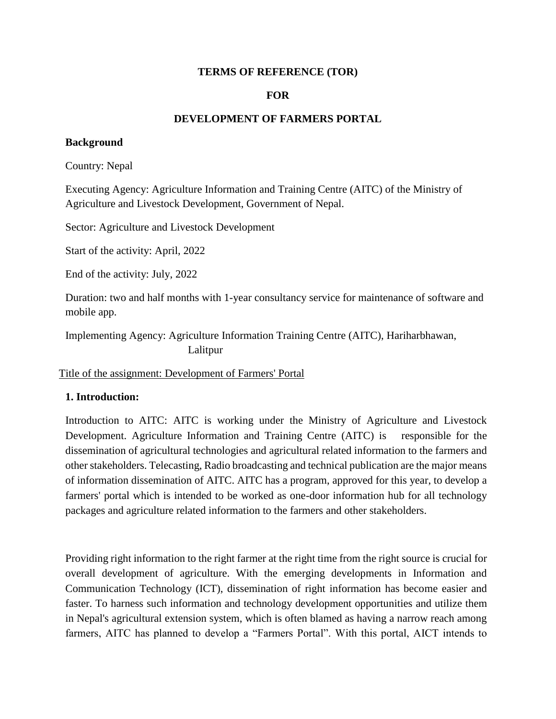#### **TERMS OF REFERENCE (TOR)**

#### **FOR**

#### **DEVELOPMENT OF FARMERS PORTAL**

#### **Background**

Country: Nepal

Executing Agency: Agriculture Information and Training Centre (AITC) of the Ministry of Agriculture and Livestock Development, Government of Nepal.

Sector: Agriculture and Livestock Development

Start of the activity: April, 2022

End of the activity: July, 2022

Duration: two and half months with 1-year consultancy service for maintenance of software and mobile app.

Implementing Agency: Agriculture Information Training Centre (AITC), Hariharbhawan, Lalitpur

Title of the assignment: Development of Farmers' Portal

#### **1. Introduction:**

Introduction to AITC: AITC is working under the Ministry of Agriculture and Livestock Development. Agriculture Information and Training Centre (AITC) is responsible for the dissemination of agricultural technologies and agricultural related information to the farmers and other stakeholders. Telecasting, Radio broadcasting and technical publication are the major means of information dissemination of AITC. AITC has a program, approved for this year, to develop a farmers' portal which is intended to be worked as one-door information hub for all technology packages and agriculture related information to the farmers and other stakeholders.

Providing right information to the right farmer at the right time from the right source is crucial for overall development of agriculture. With the emerging developments in Information and Communication Technology (ICT), dissemination of right information has become easier and faster. To harness such information and technology development opportunities and utilize them in Nepal's agricultural extension system, which is often blamed as having a narrow reach among farmers, AITC has planned to develop a "Farmers Portal". With this portal, AICT intends to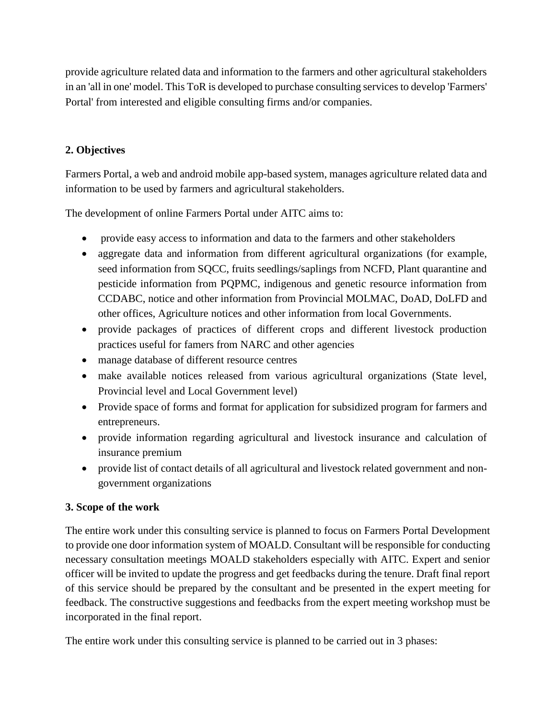provide agriculture related data and information to the farmers and other agricultural stakeholders in an 'all in one' model. This ToR is developed to purchase consulting services to develop 'Farmers' Portal' from interested and eligible consulting firms and/or companies.

## **2. Objectives**

Farmers Portal, a web and android mobile app-based system, manages agriculture related data and information to be used by farmers and agricultural stakeholders.

The development of online Farmers Portal under AITC aims to:

- provide easy access to information and data to the farmers and other stakeholders
- aggregate data and information from different agricultural organizations (for example, seed information from SQCC, fruits seedlings/saplings from NCFD, Plant quarantine and pesticide information from PQPMC, indigenous and genetic resource information from CCDABC, notice and other information from Provincial MOLMAC, DoAD, DoLFD and other offices, Agriculture notices and other information from local Governments.
- provide packages of practices of different crops and different livestock production practices useful for famers from NARC and other agencies
- manage database of different resource centres
- make available notices released from various agricultural organizations (State level, Provincial level and Local Government level)
- Provide space of forms and format for application for subsidized program for farmers and entrepreneurs.
- provide information regarding agricultural and livestock insurance and calculation of insurance premium
- provide list of contact details of all agricultural and livestock related government and nongovernment organizations

## **3. Scope of the work**

The entire work under this consulting service is planned to focus on Farmers Portal Development to provide one door information system of MOALD. Consultant will be responsible for conducting necessary consultation meetings MOALD stakeholders especially with AITC. Expert and senior officer will be invited to update the progress and get feedbacks during the tenure. Draft final report of this service should be prepared by the consultant and be presented in the expert meeting for feedback. The constructive suggestions and feedbacks from the expert meeting workshop must be incorporated in the final report.

The entire work under this consulting service is planned to be carried out in 3 phases: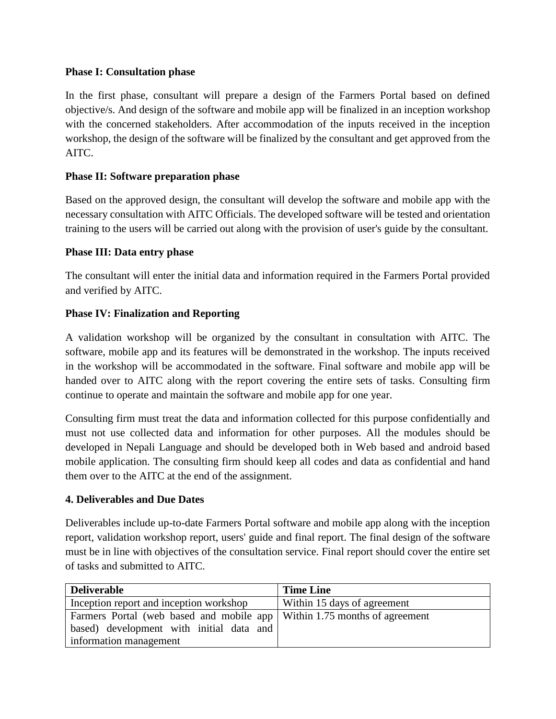#### **Phase I: Consultation phase**

In the first phase, consultant will prepare a design of the Farmers Portal based on defined objective/s. And design of the software and mobile app will be finalized in an inception workshop with the concerned stakeholders. After accommodation of the inputs received in the inception workshop, the design of the software will be finalized by the consultant and get approved from the AITC.

## **Phase II: Software preparation phase**

Based on the approved design, the consultant will develop the software and mobile app with the necessary consultation with AITC Officials. The developed software will be tested and orientation training to the users will be carried out along with the provision of user's guide by the consultant.

#### **Phase III: Data entry phase**

The consultant will enter the initial data and information required in the Farmers Portal provided and verified by AITC.

## **Phase IV: Finalization and Reporting**

A validation workshop will be organized by the consultant in consultation with AITC. The software, mobile app and its features will be demonstrated in the workshop. The inputs received in the workshop will be accommodated in the software. Final software and mobile app will be handed over to AITC along with the report covering the entire sets of tasks. Consulting firm continue to operate and maintain the software and mobile app for one year.

Consulting firm must treat the data and information collected for this purpose confidentially and must not use collected data and information for other purposes. All the modules should be developed in Nepali Language and should be developed both in Web based and android based mobile application. The consulting firm should keep all codes and data as confidential and hand them over to the AITC at the end of the assignment.

#### **4. Deliverables and Due Dates**

Deliverables include up-to-date Farmers Portal software and mobile app along with the inception report, validation workshop report, users' guide and final report. The final design of the software must be in line with objectives of the consultation service. Final report should cover the entire set of tasks and submitted to AITC.

| <b>Deliverable</b>                                                         | <b>Time Line</b>            |
|----------------------------------------------------------------------------|-----------------------------|
| Inception report and inception workshop                                    | Within 15 days of agreement |
| Farmers Portal (web based and mobile app   Within 1.75 months of agreement |                             |
| based) development with initial data and                                   |                             |
| information management                                                     |                             |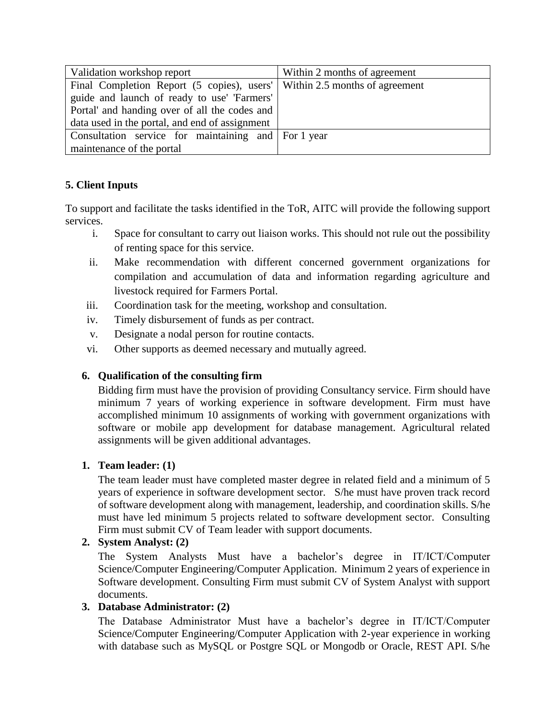| Validation workshop report                                                  | Within 2 months of agreement |
|-----------------------------------------------------------------------------|------------------------------|
| Final Completion Report (5 copies), users'   Within 2.5 months of agreement |                              |
| guide and launch of ready to use' 'Farmers'                                 |                              |
| Portal' and handing over of all the codes and                               |                              |
| data used in the portal, and end of assignment                              |                              |
| Consultation service for maintaining and For 1 year                         |                              |
| maintenance of the portal                                                   |                              |

# **5. Client Inputs**

To support and facilitate the tasks identified in the ToR, AITC will provide the following support services.

- i. Space for consultant to carry out liaison works. This should not rule out the possibility of renting space for this service.
- ii. Make recommendation with different concerned government organizations for compilation and accumulation of data and information regarding agriculture and livestock required for Farmers Portal.
- iii. Coordination task for the meeting, workshop and consultation.
- iv. Timely disbursement of funds as per contract.
- v. Designate a nodal person for routine contacts.
- vi. Other supports as deemed necessary and mutually agreed.

## **6. Qualification of the consulting firm**

Bidding firm must have the provision of providing Consultancy service. Firm should have minimum 7 years of working experience in software development. Firm must have accomplished minimum 10 assignments of working with government organizations with software or mobile app development for database management. Agricultural related assignments will be given additional advantages.

## **1. Team leader: (1)**

The team leader must have completed master degree in related field and a minimum of 5 years of experience in software development sector. S/he must have proven track record of software development along with management, leadership, and coordination skills. S/he must have led minimum 5 projects related to software development sector. Consulting Firm must submit CV of Team leader with support documents.

## **2. System Analyst: (2)**

The System Analysts Must have a bachelor's degree in IT/ICT/Computer Science/Computer Engineering/Computer Application. Minimum 2 years of experience in Software development. Consulting Firm must submit CV of System Analyst with support documents.

## **3. Database Administrator: (2)**

The Database Administrator Must have a bachelor's degree in IT/ICT/Computer Science/Computer Engineering/Computer Application with 2-year experience in working with database such as MySQL or Postgre SQL or Mongodb or Oracle, REST API. S/he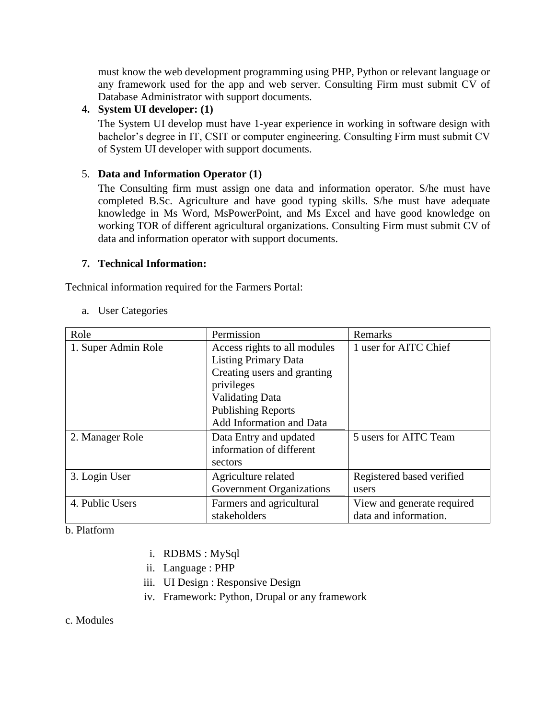must know the web development programming using PHP, Python or relevant language or any framework used for the app and web server. Consulting Firm must submit CV of Database Administrator with support documents.

## **4. System UI developer: (1)**

The System UI develop must have 1-year experience in working in software design with bachelor's degree in IT, CSIT or computer engineering. Consulting Firm must submit CV of System UI developer with support documents.

#### 5. **Data and Information Operator (1)**

The Consulting firm must assign one data and information operator. S/he must have completed B.Sc. Agriculture and have good typing skills. S/he must have adequate knowledge in Ms Word, MsPowerPoint, and Ms Excel and have good knowledge on working TOR of different agricultural organizations. Consulting Firm must submit CV of data and information operator with support documents.

#### **7. Technical Information:**

Technical information required for the Farmers Portal:

#### a. User Categories

| Role                | Permission                      | Remarks                    |
|---------------------|---------------------------------|----------------------------|
| 1. Super Admin Role | Access rights to all modules    | 1 user for AITC Chief      |
|                     | <b>Listing Primary Data</b>     |                            |
|                     | Creating users and granting     |                            |
|                     | privileges                      |                            |
|                     | <b>Validating Data</b>          |                            |
|                     | <b>Publishing Reports</b>       |                            |
|                     | Add Information and Data        |                            |
| 2. Manager Role     | Data Entry and updated          | 5 users for AITC Team      |
|                     | information of different        |                            |
|                     | sectors                         |                            |
| 3. Login User       | Agriculture related             | Registered based verified  |
|                     | <b>Government Organizations</b> | users                      |
| 4. Public Users     | Farmers and agricultural        | View and generate required |
|                     | stakeholders                    | data and information.      |

#### b. Platform

- i. RDBMS : MySql
- ii. Language : PHP
- iii. UI Design : Responsive Design
- iv. Framework: Python, Drupal or any framework

c. Modules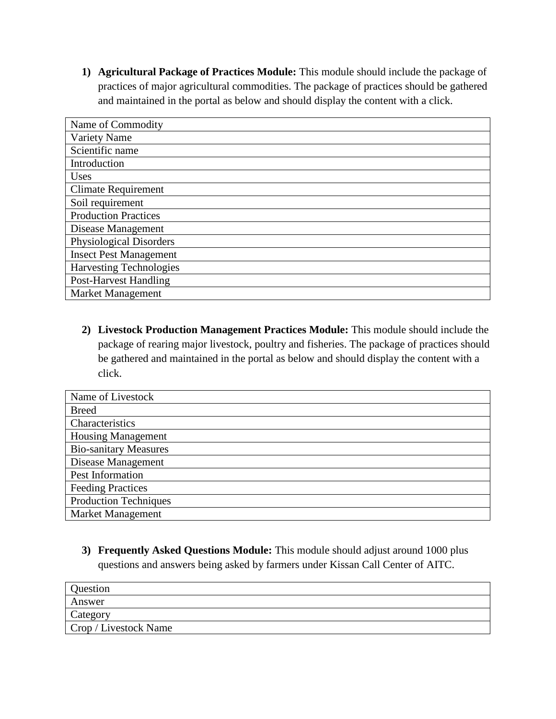**1) Agricultural Package of Practices Module:** This module should include the package of practices of major agricultural commodities. The package of practices should be gathered and maintained in the portal as below and should display the content with a click.

| Name of Commodity              |
|--------------------------------|
| Variety Name                   |
| Scientific name                |
| Introduction                   |
| Uses                           |
| <b>Climate Requirement</b>     |
| Soil requirement               |
| <b>Production Practices</b>    |
| Disease Management             |
| Physiological Disorders        |
| <b>Insect Pest Management</b>  |
| <b>Harvesting Technologies</b> |
| <b>Post-Harvest Handling</b>   |
| <b>Market Management</b>       |

**2) Livestock Production Management Practices Module:** This module should include the package of rearing major livestock, poultry and fisheries. The package of practices should be gathered and maintained in the portal as below and should display the content with a click.

| Name of Livestock            |
|------------------------------|
| <b>Breed</b>                 |
| Characteristics              |
| <b>Housing Management</b>    |
| <b>Bio-sanitary Measures</b> |
| Disease Management           |
| Pest Information             |
| <b>Feeding Practices</b>     |
| <b>Production Techniques</b> |
| Market Management            |

**3) Frequently Asked Questions Module:** This module should adjust around 1000 plus questions and answers being asked by farmers under Kissan Call Center of AITC.

| Question              |  |
|-----------------------|--|
| Answer                |  |
| Category              |  |
| Crop / Livestock Name |  |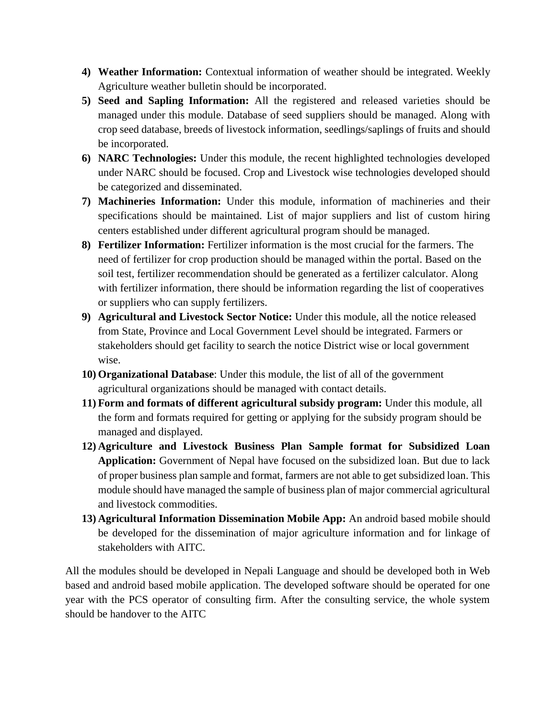- **4) Weather Information:** Contextual information of weather should be integrated. Weekly Agriculture weather bulletin should be incorporated.
- **5) Seed and Sapling Information:** All the registered and released varieties should be managed under this module. Database of seed suppliers should be managed. Along with crop seed database, breeds of livestock information, seedlings/saplings of fruits and should be incorporated.
- **6) NARC Technologies:** Under this module, the recent highlighted technologies developed under NARC should be focused. Crop and Livestock wise technologies developed should be categorized and disseminated.
- **7) Machineries Information:** Under this module, information of machineries and their specifications should be maintained. List of major suppliers and list of custom hiring centers established under different agricultural program should be managed.
- **8) Fertilizer Information:** Fertilizer information is the most crucial for the farmers. The need of fertilizer for crop production should be managed within the portal. Based on the soil test, fertilizer recommendation should be generated as a fertilizer calculator. Along with fertilizer information, there should be information regarding the list of cooperatives or suppliers who can supply fertilizers.
- **9) Agricultural and Livestock Sector Notice:** Under this module, all the notice released from State, Province and Local Government Level should be integrated. Farmers or stakeholders should get facility to search the notice District wise or local government wise.
- **10) Organizational Database**: Under this module, the list of all of the government agricultural organizations should be managed with contact details.
- **11) Form and formats of different agricultural subsidy program:** Under this module, all the form and formats required for getting or applying for the subsidy program should be managed and displayed.
- **12) Agriculture and Livestock Business Plan Sample format for Subsidized Loan Application:** Government of Nepal have focused on the subsidized loan. But due to lack of proper business plan sample and format, farmers are not able to get subsidized loan. This module should have managed the sample of business plan of major commercial agricultural and livestock commodities.
- **13) Agricultural Information Dissemination Mobile App:** An android based mobile should be developed for the dissemination of major agriculture information and for linkage of stakeholders with AITC.

All the modules should be developed in Nepali Language and should be developed both in Web based and android based mobile application. The developed software should be operated for one year with the PCS operator of consulting firm. After the consulting service, the whole system should be handover to the AITC